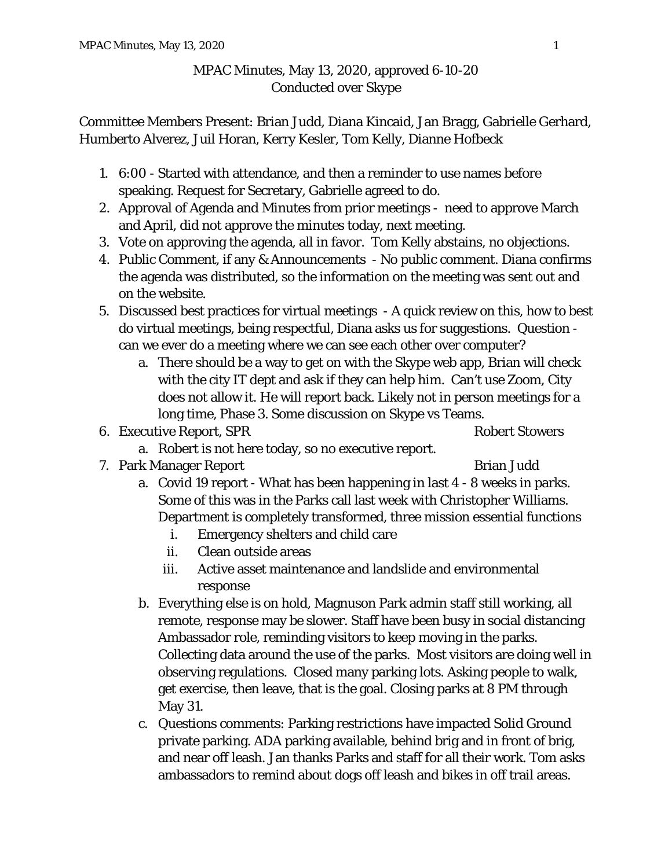## MPAC Minutes, May 13, 2020, approved 6-10-20 Conducted over Skype

Committee Members Present: Brian Judd, Diana Kincaid, Jan Bragg, Gabrielle Gerhard, Humberto Alverez, Juil Horan, Kerry Kesler, Tom Kelly, Dianne Hofbeck

- 1. 6:00 Started with attendance, and then a reminder to use names before speaking. Request for Secretary, Gabrielle agreed to do.
- 2. Approval of Agenda and Minutes from prior meetings need to approve March and April, did not approve the minutes today, next meeting.
- 3. Vote on approving the agenda, all in favor. Tom Kelly abstains, no objections.
- 4. Public Comment, if any & Announcements No public comment. Diana confirms the agenda was distributed, so the information on the meeting was sent out and on the website.
- 5. Discussed best practices for virtual meetings A quick review on this, how to best do virtual meetings, being respectful, Diana asks us for suggestions. Question can we ever do a meeting where we can see each other over computer?
	- a. There should be a way to get on with the Skype web app, Brian will check with the city IT dept and ask if they can help him. Can't use Zoom, City does not allow it. He will report back. Likely not in person meetings for a long time, Phase 3. Some discussion on Skype vs Teams.
- 6. Executive Report, SPR Robert Stowers

- a. Robert is not here today, so no executive report.
- 7. Park Manager Report Brian Judd

- a. Covid 19 report What has been happening in last 4 8 weeks in parks. Some of this was in the Parks call last week with Christopher Williams. Department is completely transformed, three mission essential functions
	- i. Emergency shelters and child care
	- ii. Clean outside areas
	- iii. Active asset maintenance and landslide and environmental response
- b. Everything else is on hold, Magnuson Park admin staff still working, all remote, response may be slower. Staff have been busy in social distancing Ambassador role, reminding visitors to keep moving in the parks. Collecting data around the use of the parks. Most visitors are doing well in observing regulations. Closed many parking lots. Asking people to walk, get exercise, then leave, that is the goal. Closing parks at 8 PM through May 31.
- c. Questions comments: Parking restrictions have impacted Solid Ground private parking. ADA parking available, behind brig and in front of brig, and near off leash. Jan thanks Parks and staff for all their work. Tom asks ambassadors to remind about dogs off leash and bikes in off trail areas.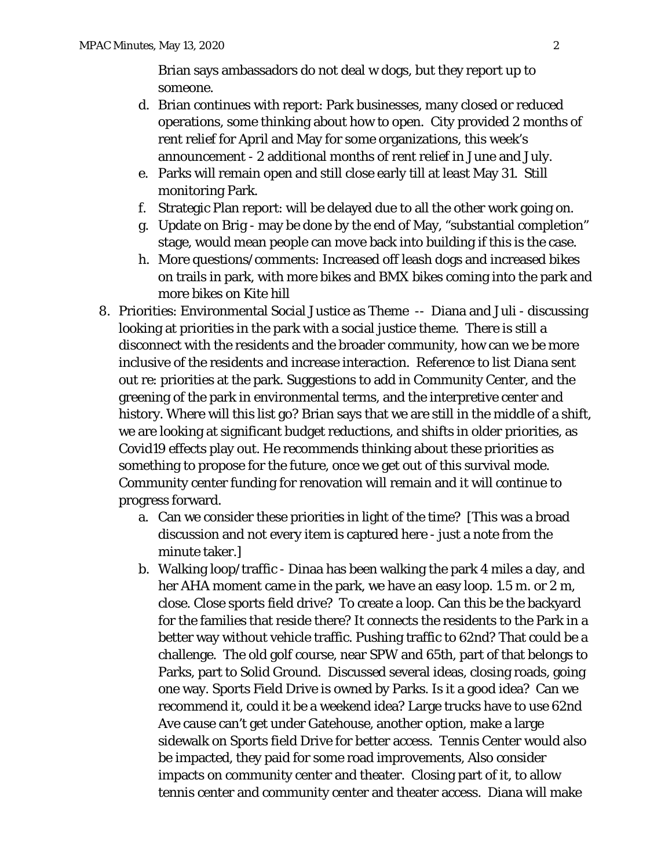Brian says ambassadors do not deal w dogs, but they report up to someone.

- d. Brian continues with report: Park businesses, many closed or reduced operations, some thinking about how to open. City provided 2 months of rent relief for April and May for some organizations, this week's announcement - 2 additional months of rent relief in June and July.
- e. Parks will remain open and still close early till at least May 31. Still monitoring Park.
- f. Strategic Plan report: will be delayed due to all the other work going on.
- g. Update on Brig may be done by the end of May, "substantial completion" stage, would mean people can move back into building if this is the case.
- h. More questions/comments: Increased off leash dogs and increased bikes on trails in park, with more bikes and BMX bikes coming into the park and more bikes on Kite hill
- 8. Priorities: Environmental Social Justice as Theme -- Diana and Juli discussing looking at priorities in the park with a social justice theme. There is still a disconnect with the residents and the broader community, how can we be more inclusive of the residents and increase interaction. Reference to list Diana sent out re: priorities at the park. Suggestions to add in Community Center, and the greening of the park in environmental terms, and the interpretive center and history. Where will this list go? Brian says that we are still in the middle of a shift, we are looking at significant budget reductions, and shifts in older priorities, as Covid19 effects play out. He recommends thinking about these priorities as something to propose for the future, once we get out of this survival mode. Community center funding for renovation will remain and it will continue to progress forward.
	- a. Can we consider these priorities in light of the time? [This was a broad discussion and not every item is captured here - just a note from the minute taker.]
	- b. Walking loop/traffic Dinaa has been walking the park 4 miles a day, and her AHA moment came in the park, we have an easy loop. 1.5 m. or 2 m, close. Close sports field drive? To create a loop. Can this be the backyard for the families that reside there? It connects the residents to the Park in a better way without vehicle traffic. Pushing traffic to 62nd? That could be a challenge. The old golf course, near SPW and 65th, part of that belongs to Parks, part to Solid Ground. Discussed several ideas, closing roads, going one way. Sports Field Drive is owned by Parks. Is it a good idea? Can we recommend it, could it be a weekend idea? Large trucks have to use 62nd Ave cause can't get under Gatehouse, another option, make a large sidewalk on Sports field Drive for better access. Tennis Center would also be impacted, they paid for some road improvements, Also consider impacts on community center and theater. Closing part of it, to allow tennis center and community center and theater access. Diana will make